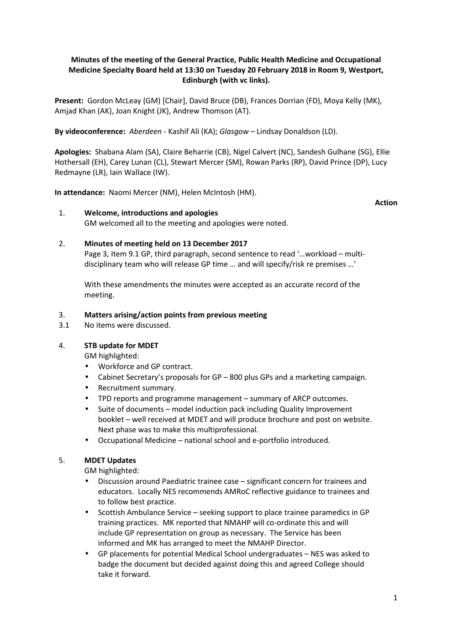# **Minutes of the meeting of the General Practice, Public Health Medicine and Occupational Medicine Specialty Board held at 13:30 on Tuesday 20 February 2018 in Room 9, Westport, Edinburgh (with vc links).**

**Present:** Gordon McLeay (GM) [Chair], David Bruce (DB), Frances Dorrian (FD), Moya Kelly (MK), Amjad Khan (AK), Joan Knight (JK), Andrew Thomson (AT).

**By videoconference:** *Aberdeen* - Kashif Ali (KA); *Glasgow* – Lindsay Donaldson (LD).

**Apologies:** Shabana Alam (SA), Claire Beharrie (CB), Nigel Calvert (NC), Sandesh Gulhane (SG), Ellie Hothersall (EH), Carey Lunan (CL), Stewart Mercer (SM), Rowan Parks (RP), David Prince (DP), Lucy Redmayne (LR), Iain Wallace (IW).

**In attendance:** Naomi Mercer (NM), Helen McIntosh (HM).

**Action** 

### 1. **Welcome, introductions and apologies** GM welcomed all to the meeting and apologies were noted.

# 2. **Minutes of meeting held on 13 December 2017**

Page 3, Item 9.1 GP, third paragraph, second sentence to read '…workload – multidisciplinary team who will release GP time … and will specify/risk re premises …'

With these amendments the minutes were accepted as an accurate record of the meeting.

# 3. **Matters arising/action points from previous meeting**

3.1 No items were discussed.

# 4. **STB update for MDET**

GM highlighted:

- Workforce and GP contract.
- Cabinet Secretary's proposals for GP 800 plus GPs and a marketing campaign.
- Recruitment summary.
- TPD reports and programme management summary of ARCP outcomes.
- Suite of documents model induction pack including Quality Improvement booklet – well received at MDET and will produce brochure and post on website. Next phase was to make this multiprofessional.
- Occupational Medicine national school and e-portfolio introduced.

# 5. **MDET Updates**

GM highlighted:

- Discussion around Paediatric trainee case significant concern for trainees and educators. Locally NES recommends AMRoC reflective guidance to trainees and to follow best practice.
- Scottish Ambulance Service seeking support to place trainee paramedics in GP training practices. MK reported that NMAHP will co-ordinate this and will include GP representation on group as necessary. The Service has been informed and MK has arranged to meet the NMAHP Director.
- GP placements for potential Medical School undergraduates NES was asked to badge the document but decided against doing this and agreed College should take it forward.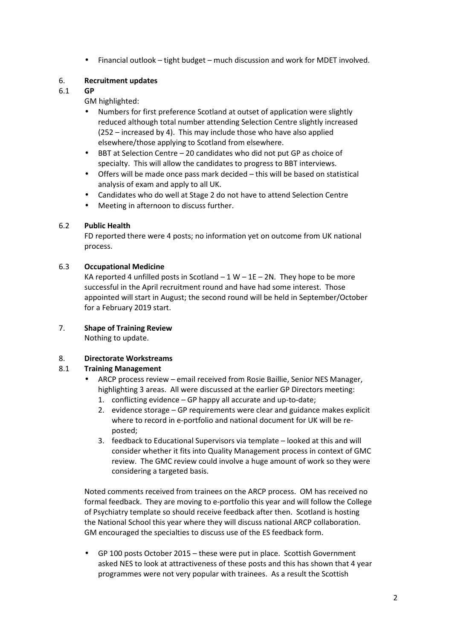• Financial outlook – tight budget – much discussion and work for MDET involved.

# 6. **Recruitment updates**

### 6.1 **GP**

GM highlighted:

- Numbers for first preference Scotland at outset of application were slightly reduced although total number attending Selection Centre slightly increased (252 – increased by 4). This may include those who have also applied elsewhere/those applying to Scotland from elsewhere.
- BBT at Selection Centre 20 candidates who did not put GP as choice of specialty. This will allow the candidates to progress to BBT interviews.
- Offers will be made once pass mark decided this will be based on statistical analysis of exam and apply to all UK.
- Candidates who do well at Stage 2 do not have to attend Selection Centre
- Meeting in afternoon to discuss further.

# 6.2 **Public Health**

FD reported there were 4 posts; no information yet on outcome from UK national process.

# 6.3 **Occupational Medicine**

KA reported 4 unfilled posts in Scotland  $-1 W - 1E - 2N$ . They hope to be more successful in the April recruitment round and have had some interest. Those appointed will start in August; the second round will be held in September/October for a February 2019 start.

# 7. **Shape of Training Review**

Nothing to update.

# 8. **Directorate Workstreams**

# 8.1 **Training Management**

- ARCP process reviewemail received from Rosie Baillie, Senior NES Manager, highlighting 3 areas. All were discussed at the earlier GP Directors meeting:
	- 1. conflicting evidence GP happy all accurate and up-to-date;
	- 2. evidence storage GP requirements were clear and guidance makes explicit where to record in e-portfolio and national document for UK will be reposted;
	- 3. feedback to Educational Supervisors via template looked at this and will consider whether it fits into Quality Management process in context of GMC review. The GMC review could involve a huge amount of work so they were considering a targeted basis.

Noted comments received from trainees on the ARCP process. OM has received no formal feedback. They are moving to e-portfolio this year and will follow the College of Psychiatry template so should receive feedback after then. Scotland is hosting the National School this year where they will discuss national ARCP collaboration. GM encouraged the specialties to discuss use of the ES feedback form.

• GP 100 posts October 2015 – these were put in place. Scottish Government asked NES to look at attractiveness of these posts and this has shown that 4 year programmes were not very popular with trainees. As a result the Scottish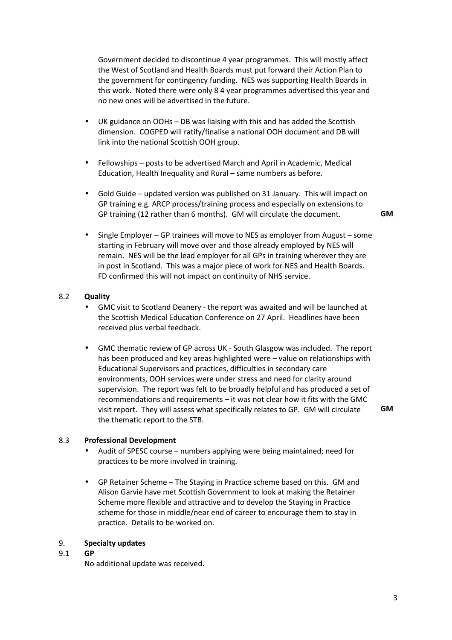Government decided to discontinue 4 year programmes. This will mostly affect the West of Scotland and Health Boards must put forward their Action Plan to the government for contingency funding. NES was supporting Health Boards in this work. Noted there were only 8 4 year programmes advertised this year and no new ones will be advertised in the future.

- UK guidance on OOHs DB was liaising with this and has added the Scottish dimension. COGPED will ratify/finalise a national OOH document and DB will link into the national Scottish OOH group.
- Fellowships posts to be advertised March and April in Academic, Medical Education, Health Inequality and Rural – same numbers as before.
- Gold Guide updated version was published on 31 January. This will impact on GP training e.g. ARCP process/training process and especially on extensions to GP training (12 rather than 6 months). GM will circulate the document. **GM**

• Single Employer – GP trainees will move to NES as employer from August – some starting in February will move over and those already employed by NES will remain. NES will be the lead employer for all GPs in training wherever they are in post in Scotland. This was a major piece of work for NES and Health Boards. FD confirmed this will not impact on continuity of NHS service.

### 8.2 **Quality**

- GMC visit to Scotland Deanery the report was awaited and will be launched at the Scottish Medical Education Conference on 27 April. Headlines have been received plus verbal feedback.
- GMC thematic review of GP across UK South Glasgow was included. The report has been produced and key areas highlighted were – value on relationships with Educational Supervisors and practices, difficulties in secondary care environments, OOH services were under stress and need for clarity around supervision. The report was felt to be broadly helpful and has produced a set of recommendations and requirements – it was not clear how it fits with the GMC visit report. They will assess what specifically relates to GP. GM will circulate the thematic report to the STB.

**GM** 

#### 8.3 **Professional Development**

- Audit of SPESC course numbers applying were being maintained; need for practices to be more involved in training.
- GP Retainer Scheme The Staying in Practice scheme based on this. GM and Alison Garvie have met Scottish Government to look at making the Retainer Scheme more flexible and attractive and to develop the Staying in Practice scheme for those in middle/near end of career to encourage them to stay in practice. Details to be worked on.

#### 9. **Specialty updates**

### 9.1 **GP**

No additional update was received.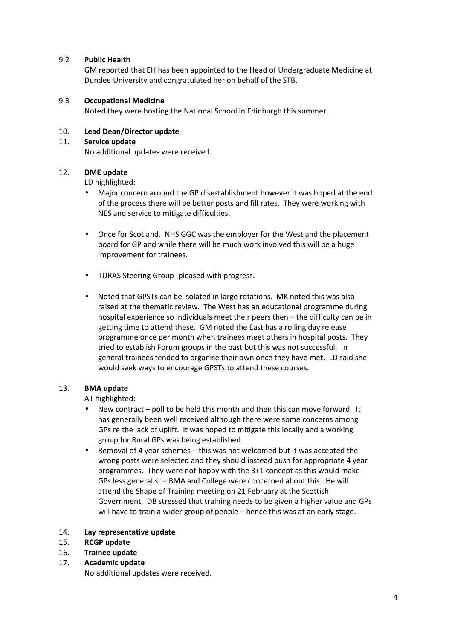### 9.2 **Public Health**

GM reported that EH has been appointed to the Head of Undergraduate Medicine at Dundee University and congratulated her on behalf of the STB.

### 9.3 **Occupational Medicine**

Noted they were hosting the National School in Edinburgh this summer.

### 10. **Lead Dean/Director update**

### 11. **Service update**

No additional updates were received.

# 12. **DME update**

LD highlighted:

- Major concern around the GP disestablishment however it was hoped at the end of the process there will be better posts and fill rates. They were working with NES and service to mitigate difficulties.
- Once for Scotland. NHS GGC was the employer for the West and the placement board for GP and while there will be much work involved this will be a huge improvement for trainees.
- TURAS Steering Group -pleased with progress.
- Noted that GPSTs can be isolated in large rotations. MK noted this was also raised at the thematic review. The West has an educational programme during hospital experience so individuals meet their peers then – the difficulty can be in getting time to attend these. GM noted the East has a rolling day release programme once per month when trainees meet others in hospital posts. They tried to establish Forum groups in the past but this was not successful. In general trainees tended to organise their own once they have met. LD said she would seek ways to encourage GPSTs to attend these courses.

# 13. **BMA update**

AT highlighted:

- New contract poll to be held this month and then this can move forward. It has generally been well received although there were some concerns among GPs re the lack of uplift. It was hoped to mitigate this locally and a working group for Rural GPs was being established.
- Removal of 4 year schemes this was not welcomed but it was accepted the wrong posts were selected and they should instead push for appropriate 4 year programmes. They were not happy with the 3+1 concept as this would make GPs less generalist – BMA and College were concerned about this. He will attend the Shape of Training meeting on 21 February at the Scottish Government. DB stressed that training needs to be given a higher value and GPs will have to train a wider group of people – hence this was at an early stage.

#### 14. **Lay representative update**

- 15. **RCGP update**
- 16. **Trainee update**
- 17. **Academic update**

No additional updates were received.